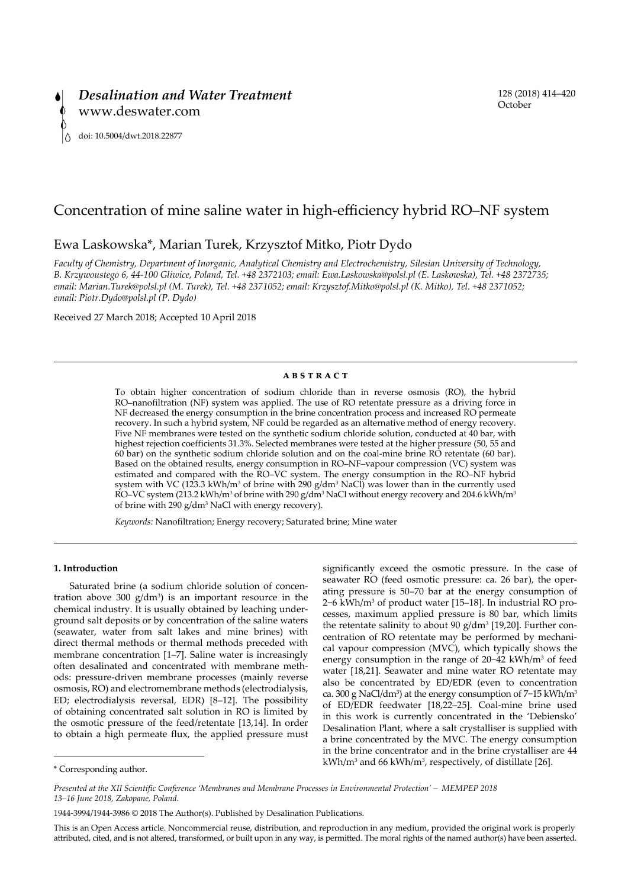

# Concentration of mine saline water in high-efficiency hybrid RO–NF system

# Ewa Laskowska\*, Marian Turek, Krzysztof Mitko, Piotr Dydo

*Faculty of Chemistry, Department of Inorganic, Analytical Chemistry and Electrochemistry, Silesian University of Technology, B. Krzywoustego 6, 44-100 Gliwice, Poland, Tel. +48 2372103; email: [Ewa.Laskowska@polsl.pl](mailto:Ewa.Laskowska@polsl.pl) (E. Laskowska), Tel. +48 2372735; email: [Marian.Turek@polsl.pl](mailto:Marian.Turek@polsl.pl) (M. Turek), Tel. +48 2371052; email: [Krzysztof.Mitko@polsl.pl](mailto:Krzysztof.Mitko@polsl.pl) (K. Mitko), Tel. +48 2371052; email: [Piotr.Dydo@polsl.pl](mailto:Piotr.Dydo@polsl.pl) (P. Dydo)*

Received 27 March 2018; Accepted 10 April 2018

# **abstract**

To obtain higher concentration of sodium chloride than in reverse osmosis (RO), the hybrid RO–nanofiltration (NF) system was applied. The use of RO retentate pressure as a driving force in NF decreased the energy consumption in the brine concentration process and increased RO permeate recovery. In such a hybrid system, NF could be regarded as an alternative method of energy recovery. Five NF membranes were tested on the synthetic sodium chloride solution, conducted at 40 bar, with highest rejection coefficients 31.3%. Selected membranes were tested at the higher pressure (50, 55 and 60 bar) on the synthetic sodium chloride solution and on the coal-mine brine RO retentate (60 bar). Based on the obtained results, energy consumption in RO–NF–vapour compression (VC) system was estimated and compared with the RO–VC system. The energy consumption in the RO–NF hybrid system with VC (123.3 kWh/m<sup>3</sup> of brine with 290  $g/dm^3$  NaCl) was lower than in the currently used RO–VC system (213.2 kWh/m $^3$  of brine with 290 g/dm $^3$  NaCl without energy recovery and 204.6 kWh/m $^3$ of brine with 290 g/dm<sup>3</sup> NaCl with energy recovery).

*Keywords:* Nanofiltration; Energy recovery; Saturated brine; Mine water

#### **1. Introduction**

Saturated brine (a sodium chloride solution of concentration above  $300 \text{ g/dm}^3$  is an important resource in the chemical industry. It is usually obtained by leaching underground salt deposits or by concentration of the saline waters (seawater, water from salt lakes and mine brines) with direct thermal methods or thermal methods preceded with membrane concentration [1–7]. Saline water is increasingly often desalinated and concentrated with membrane methods: pressure-driven membrane processes (mainly reverse osmosis, RO) and electromembrane methods (electrodialysis, ED; electrodialysis reversal, EDR) [8–12]. The possibility of obtaining concentrated salt solution in RO is limited by the osmotic pressure of the feed/retentate [13,14]. In order to obtain a high permeate flux, the applied pressure must

significantly exceed the osmotic pressure. In the case of seawater RO (feed osmotic pressure: ca. 26 bar), the operating pressure is 50–70 bar at the energy consumption of 2–6 kWh/m<sup>3</sup> of product water [15–18]. In industrial RO processes, maximum applied pressure is 80 bar, which limits the retentate salinity to about 90  $g/dm^3$  [19,20]. Further concentration of RO retentate may be performed by mechanical vapour compression (MVC), which typically shows the energy consumption in the range of 20–42 kWh/m<sup>3</sup> of feed water [18,21]. Seawater and mine water RO retentate may also be concentrated by ED/EDR (even to concentration ca. 300 g NaCl/dm<sup>3</sup>) at the energy consumption of 7–15 kWh/m<sup>3</sup> of ED/EDR feedwater [18,22–25]. Coal-mine brine used in this work is currently concentrated in the 'Debiensko' Desalination Plant, where a salt crystalliser is supplied with a brine concentrated by the MVC. The energy consumption in the brine concentrator and in the brine crystalliser are 44 kWh/m<sup>3</sup> and 66 kWh/m<sup>3</sup>, respectively, of distillate [26].

This is an Open Access article. Noncommercial reuse, distribution, and reproduction in any medium, provided the original work is properly attributed, cited, and is not altered, transformed, or built upon in any way, is permitted. The moral rights of the named author(s) have been asserted.

<sup>\*</sup> Corresponding author.

*Presented at the XII Scientific Conference 'Membranes and Membrane Processes in Environmental Protection' – MEMPEP 2018 13–16 June 2018, Zakopane, Poland.*

<sup>1944-3994/1944-3986 ©</sup> 2018 The Author(s). Published by Desalination Publications.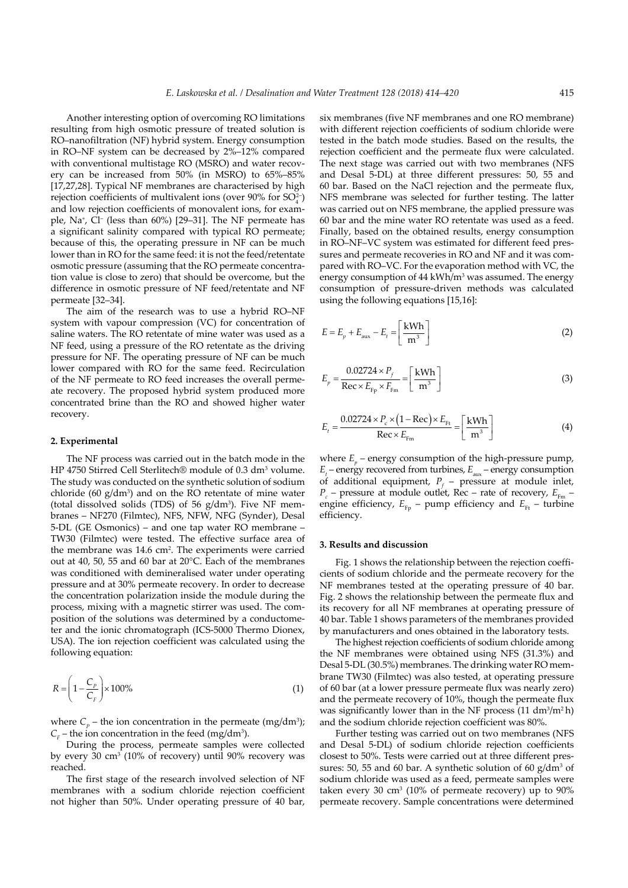Another interesting option of overcoming RO limitations resulting from high osmotic pressure of treated solution is RO–nanofiltration (NF) hybrid system. Energy consumption in RO–NF system can be decreased by 2%–12% compared with conventional multistage RO (MSRO) and water recovery can be increased from 50% (in MSRO) to 65%–85% [17,27,28]. Typical NF membranes are characterised by high rejection coefficients of multivalent ions (over  $90\%$  for  $SO_4^{2-}$ ) and low rejection coefficients of monovalent ions, for example, Na<sup>+</sup>, Cl<sup>-</sup> (less than 60%) [29–31]. The NF permeate has a significant salinity compared with typical RO permeate; because of this, the operating pressure in NF can be much lower than in RO for the same feed: it is not the feed/retentate osmotic pressure (assuming that the RO permeate concentration value is close to zero) that should be overcome, but the difference in osmotic pressure of NF feed/retentate and NF permeate [32–34].

The aim of the research was to use a hybrid RO–NF system with vapour compression (VC) for concentration of saline waters. The RO retentate of mine water was used as a NF feed, using a pressure of the RO retentate as the driving pressure for NF. The operating pressure of NF can be much lower compared with RO for the same feed. Recirculation of the NF permeate to RO feed increases the overall permeate recovery. The proposed hybrid system produced more concentrated brine than the RO and showed higher water recovery.

#### **2. Experimental**

The NF process was carried out in the batch mode in the HP 4750 Stirred Cell Sterlitech® module of 0.3 dm<sup>3</sup> volume. The study was conducted on the synthetic solution of sodium chloride  $(60 \text{ g/dm}^3)$  and on the RO retentate of mine water (total dissolved solids (TDS) of 56  $g/dm<sup>3</sup>$ ). Five NF membranes – NF270 (Filmtec), NFS, NFW, NFG (Synder), Desal 5-DL (GE Osmonics) – and one tap water RO membrane – TW30 (Filmtec) were tested. The effective surface area of the membrane was 14.6 cm<sup>2</sup>. The experiments were carried out at 40, 50, 55 and 60 bar at 20°C. Each of the membranes was conditioned with demineralised water under operating pressure and at 30% permeate recovery. In order to decrease the concentration polarization inside the module during the process, mixing with a magnetic stirrer was used. The composition of the solutions was determined by a conductometer and the ionic chromatograph (ICS-5000 Thermo Dionex, USA). The ion rejection coefficient was calculated using the following equation:

$$
R = \left(1 - \frac{C_p}{C_F}\right) \times 100\%
$$
\n<sup>(1)</sup>

where  $C_p$  – the ion concentration in the permeate (mg/dm<sup>3</sup>);  $C_F$  – the ion concentration in the feed (mg/dm<sup>3</sup>).

During the process, permeate samples were collected by every 30 cm<sup>3</sup> (10% of recovery) until 90% recovery was reached.

The first stage of the research involved selection of NF membranes with a sodium chloride rejection coefficient not higher than 50%. Under operating pressure of 40 bar,

six membranes (five NF membranes and one RO membrane) with different rejection coefficients of sodium chloride were tested in the batch mode studies. Based on the results, the rejection coefficient and the permeate flux were calculated. The next stage was carried out with two membranes (NFS and Desal 5-DL) at three different pressures: 50, 55 and 60 bar. Based on the NaCl rejection and the permeate flux, NFS membrane was selected for further testing. The latter was carried out on NFS membrane, the applied pressure was 60 bar and the mine water RO retentate was used as a feed. Finally, based on the obtained results, energy consumption in RO–NF–VC system was estimated for different feed pressures and permeate recoveries in RO and NF and it was compared with RO–VC. For the evaporation method with VC, the energy consumption of  $44 \text{ kWh/m}^3$  was assumed. The energy consumption of pressure-driven methods was calculated using the following equations [15,16]:

$$
E = E_p + E_{\text{aux}} - E_t = \left[\frac{\text{kWh}}{\text{m}^3}\right]
$$
 (2)

$$
E_p = \frac{0.02724 \times P_f}{\text{Rec} \times E_{\text{Fp}} \times F_{\text{Fm}}} = \left[\frac{\text{kWh}}{\text{m}^3}\right]
$$
(3)

$$
E_t = \frac{0.02724 \times P_c \times (1 - \text{Rec}) \times E_{\text{Ft}}}{\text{Rec} \times E_{\text{Fm}}} = \left[\frac{\text{kWh}}{\text{m}^3}\right]
$$
(4)

where  $E_p$  – energy consumption of the high-pressure pump, *E*<sub>t</sub> – energy recovered from turbines, *E*<sub>aux</sub> – energy consumption of additional equipment,  $P_f$  – pressure at module inlet,  $P_c$  – pressure at module outlet, Rec – rate of recovery,  $E_{Fm}$  – engine efficiency,  $E_{F_p}$  – pump efficiency and  $E_{F_t}$  – turbine efficiency.

### **3. Results and discussion**

Fig. 1 shows the relationship between the rejection coefficients of sodium chloride and the permeate recovery for the NF membranes tested at the operating pressure of 40 bar. Fig. 2 shows the relationship between the permeate flux and its recovery for all NF membranes at operating pressure of 40 bar. Table 1 shows parameters of the membranes provided by manufacturers and ones obtained in the laboratory tests.

The highest rejection coefficients of sodium chloride among the NF membranes were obtained using NFS (31.3%) and Desal 5-DL (30.5%) membranes. The drinking water RO membrane TW30 (Filmtec) was also tested, at operating pressure of 60 bar (at a lower pressure permeate flux was nearly zero) and the permeate recovery of 10%, though the permeate flux was significantly lower than in the NF process  $(11 \text{ dm}^3/\text{m}^2 \text{ h})$ and the sodium chloride rejection coefficient was 80%.

Further testing was carried out on two membranes (NFS and Desal 5-DL) of sodium chloride rejection coefficients closest to 50%. Tests were carried out at three different pressures: 50, 55 and 60 bar. A synthetic solution of 60  $g/dm<sup>3</sup>$  of sodium chloride was used as a feed, permeate samples were taken every 30  $\text{cm}^3$  (10% of permeate recovery) up to 90% permeate recovery. Sample concentrations were determined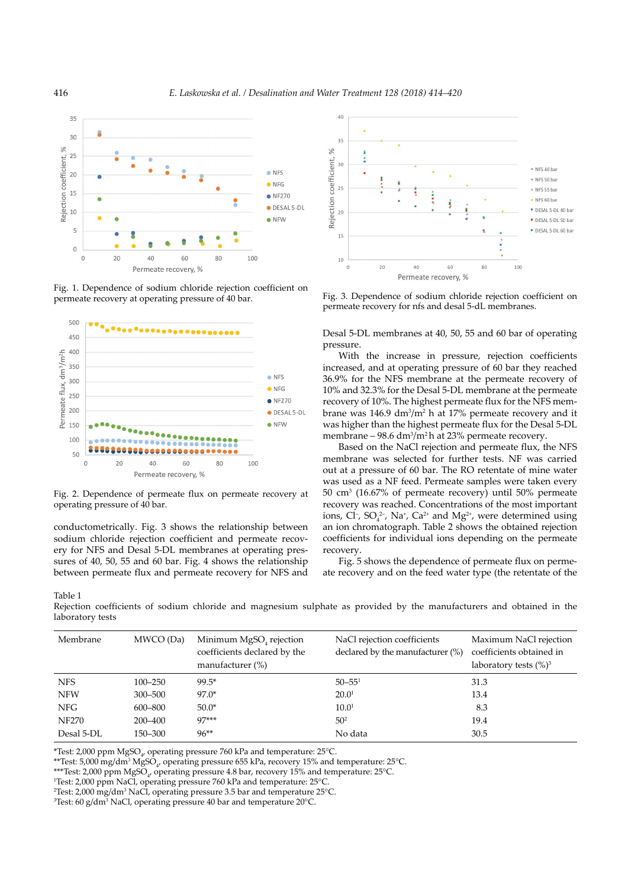

Fig. 1. Dependence of sodium chloride rejection coefficient on permeate recovery at operating pressure of 40 bar.



Fig. 2. Dependence of permeate flux on permeate recovery at operating pressure of 40 bar.

conductometrically. Fig. 3 shows the relationship between sodium chloride rejection coefficient and permeate recovery for NFS and Desal 5-DL membranes at operating pressures of 40, 50, 55 and 60 bar. Fig. 4 shows the relationship between permeate flux and permeate recovery for NFS and

Table 1

Rejection coefficients of sodium chloride and magnesium sulphate as provided by the manufacturers and obtained in the laboratory tests

| Membrane     | MWCO (Da)   | Minimum MgSO <sub>4</sub> rejection<br>coefficients declared by the<br>manufacturer (%) | NaCl rejection coefficients<br>declared by the manufacturer $(\%)$ | Maximum NaCl rejection<br>coefficients obtained in<br>laboratory tests $(\%)^3$ |
|--------------|-------------|-----------------------------------------------------------------------------------------|--------------------------------------------------------------------|---------------------------------------------------------------------------------|
| <b>NFS</b>   | $100 - 250$ | $99.5*$                                                                                 | $50 - 551$                                                         | 31.3                                                                            |
| <b>NFW</b>   | $300 - 500$ | $97.0*$                                                                                 | 20.0 <sup>1</sup>                                                  | 13.4                                                                            |
| <b>NFG</b>   | 600-800     | $50.0*$                                                                                 | 10.0 <sup>1</sup>                                                  | 8.3                                                                             |
| <b>NF270</b> | 200-400     | $97***$                                                                                 | 50 <sup>2</sup>                                                    | 19.4                                                                            |
| Desal 5-DL   | 150–300     | $96**$                                                                                  | No data                                                            | 30.5                                                                            |

\*Test: 2,000 ppm MgSO $_{\rm {\it 4'}}$  operating pressure 760 kPa and temperature: 25°C.

\*\*Test: 5,000 mg/dm $^3$  MgSO $_{\!4'}$  operating pressure 655 kPa, recovery 15% and temperature: 25°C.

\*\*\*Test: 2,000 ppm MgSO<sub>4</sub>, operating pressure 4.8 bar, recovery 15% and temperature: 25°C.

<sup>1</sup>Test: 2,000 ppm NaCl, operating pressure 760 kPa and temperature: 25°C.

2 Test: 2,000 mg/dm<sup>3</sup> NaCl, operating pressure 3.5 bar and temperature 25°C.

 $\rm{^{3}Test:}$  60 g/dm $\rm{^{3}$  NaCl, operating pressure 40 bar and temperature 20°C.



Fig. 3. Dependence of sodium chloride rejection coefficient on permeate recovery for nfs and desal 5-dL membranes.

Desal 5-DL membranes at 40, 50, 55 and 60 bar of operating pressure.

With the increase in pressure, rejection coefficients increased, and at operating pressure of 60 bar they reached 36.9% for the NFS membrane at the permeate recovery of 10% and 32.3% for the Desal 5-DL membrane at the permeate recovery of 10%. The highest permeate flux for the NFS membrane was  $146.9 \text{ dm}^3/\text{m}^2$  h at 17% permeate recovery and it was higher than the highest permeate flux for the Desal 5-DL membrane  $-98.6 \text{ dm}^3/\text{m}^2$ h at 23% permeate recovery.

Based on the NaCl rejection and permeate flux, the NFS membrane was selected for further tests. NF was carried out at a pressure of 60 bar. The RO retentate of mine water was used as a NF feed. Permeate samples were taken every 50 cm<sup>3</sup> (16.67% of permeate recovery) until 50% permeate recovery was reached. Concentrations of the most important ions, Cl<sup>-</sup>, SO<sub>4</sub><sup>2-</sup>, Na<sup>+</sup>, Ca<sup>2+</sup> and Mg<sup>2+</sup>, were determined using an ion chromatograph. Table 2 shows the obtained rejection coefficients for individual ions depending on the permeate recovery.

Fig. 5 shows the dependence of permeate flux on permeate recovery and on the feed water type (the retentate of the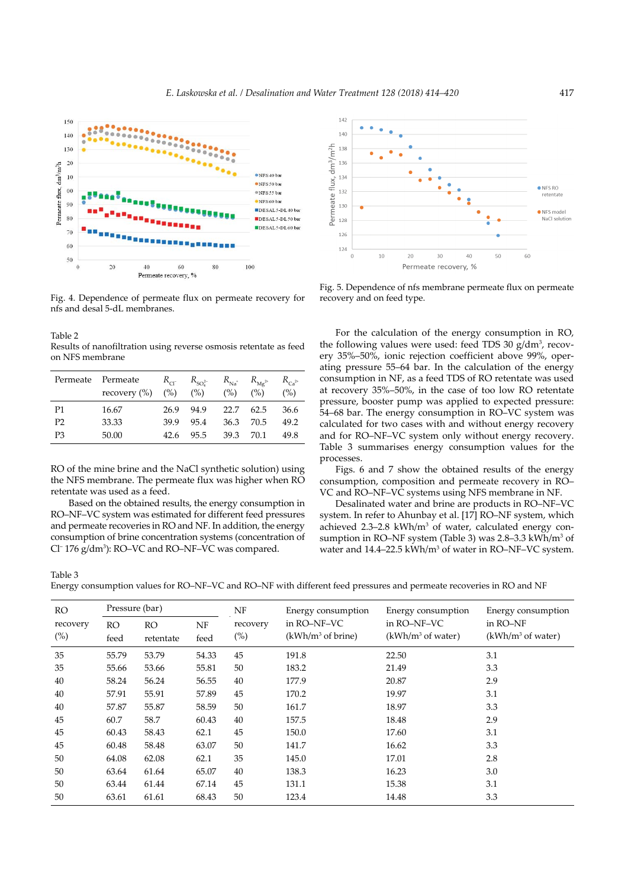

Fig. 4. Dependence of permeate flux on permeate recovery for nfs and desal 5-dL membranes.

Table 2 Results of nanofiltration using reverse osmosis retentate as feed on NFS membrane

|                | Permeate Permeate | $R_{cr}$      | $R_{SO_4^{2-}}$ | $R_{\text{Na}^+}$ | $R_{\rm Mg^{2+}}$ | $R_{Ca^{2+}}$ |
|----------------|-------------------|---------------|-----------------|-------------------|-------------------|---------------|
|                | recovery $(\% )$  | $(\%)$ $(\%)$ |                 | (% )              | (%)               | (%)           |
| P <sub>1</sub> | 16.67             | 26.9          | 94.9            | 22.7              | 62.5              | 36.6          |
| P <sub>2</sub> | 33.33             | 39.9          | 95.4            | 36.3              | 70.5              | 49.2          |
| P <sub>3</sub> | 50.00             | 42.6          | 95.5            | 39.3              | 70.1              | 49.8          |

RO of the mine brine and the NaCl synthetic solution) using the NFS membrane. The permeate flux was higher when RO retentate was used as a feed.

 Based on the obtained results, the energy consumption in RO–NF–VC system was estimated for different feed pressures and permeate recoveries in RO and NF. In addition, the energy consumption of brine concentration systems (concentration of Cl<sup>-</sup> 176 g/dm<sup>3</sup>): RO–VC and RO–NF–VC was compared.



Fig. 5. Dependence of nfs membrane permeate flux on permeate recovery and on feed type.

For the calculation of the energy consumption in RO, the following values were used: feed TDS 30  $g/dm^3$ , recovery 35%–50%, ionic rejection coefficient above 99%, operating pressure 55–64 bar. In the calculation of the energy consumption in NF, as a feed TDS of RO retentate was used at recovery 35%–50%, in the case of too low RO retentate pressure, booster pump was applied to expected pressure: 54–68 bar. The energy consumption in RO–VC system was calculated for two cases with and without energy recovery and for RO–NF–VC system only without energy recovery. Table 3 summarises energy consumption values for the processes.

Figs. 6 and 7 show the obtained results of the energy consumption, composition and permeate recovery in RO– VC and RO–NF–VC systems using NFS membrane in NF.

Desalinated water and brine are products in RO–NF–VC system. In refer to Ahunbay et al. [17] RO–NF system, which achieved  $2.3-2.8$  kWh/m<sup>3</sup> of water, calculated energy consumption in RO–NF system (Table 3) was 2.8–3.3 kWh/m<sup>3</sup> of water and 14.4–22.5 kWh/m<sup>3</sup> of water in RO–NF–VC system.

Table 3

Energy consumption values for RO–NF–VC and RO–NF with different feed pressures and permeate recoveries in RO and NF

| <b>RO</b> | Pressure (bar) |           |       | NF       | Energy consumption  | Energy consumption  | Energy consumption  |
|-----------|----------------|-----------|-------|----------|---------------------|---------------------|---------------------|
| recovery  | <b>RO</b>      | <b>RO</b> | NF    | recovery | in RO-NF-VC         | in RO-NF-VC         | in RO-NF            |
| $(\%)$    | feed           | retentate | feed  | $(\%)$   | $(kWh/m3$ of brine) | $(kWh/m3$ of water) | $(kWh/m3$ of water) |
| 35        | 55.79          | 53.79     | 54.33 | 45       | 191.8               | 22.50               | 3.1                 |
| 35        | 55.66          | 53.66     | 55.81 | 50       | 183.2               | 21.49               | 3.3                 |
| 40        | 58.24          | 56.24     | 56.55 | 40       | 177.9               | 20.87               | 2.9                 |
| 40        | 57.91          | 55.91     | 57.89 | 45       | 170.2               | 19.97               | 3.1                 |
| 40        | 57.87          | 55.87     | 58.59 | 50       | 161.7               | 18.97               | 3.3                 |
| 45        | 60.7           | 58.7      | 60.43 | 40       | 157.5               | 18.48               | 2.9                 |
| 45        | 60.43          | 58.43     | 62.1  | 45       | 150.0               | 17.60               | 3.1                 |
| 45        | 60.48          | 58.48     | 63.07 | 50       | 141.7               | 16.62               | 3.3                 |
| 50        | 64.08          | 62.08     | 62.1  | 35       | 145.0               | 17.01               | 2.8                 |
| 50        | 63.64          | 61.64     | 65.07 | 40       | 138.3               | 16.23               | 3.0                 |
| 50        | 63.44          | 61.44     | 67.14 | 45       | 131.1               | 15.38               | 3.1                 |
| 50        | 63.61          | 61.61     | 68.43 | 50       | 123.4               | 14.48               | 3.3                 |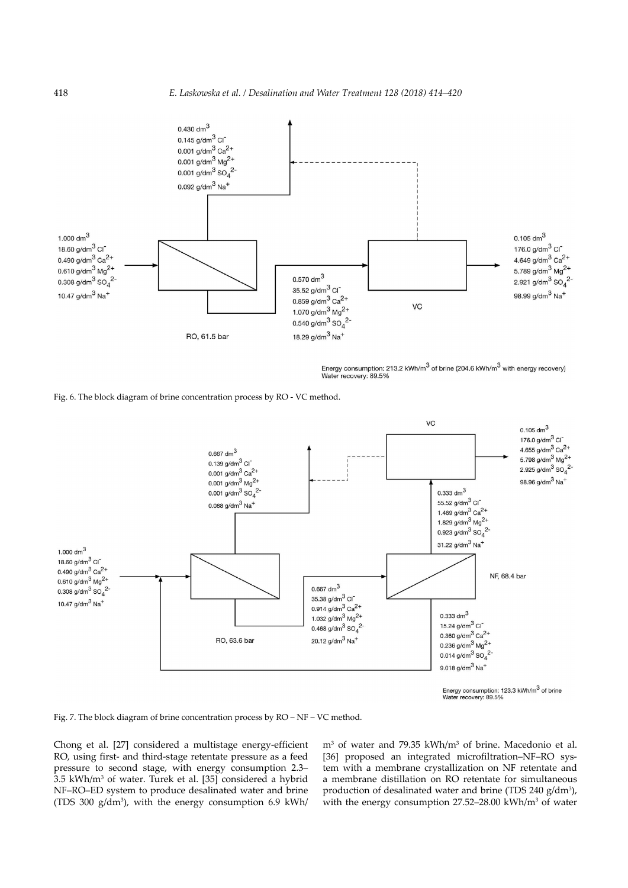

Energy consumption: 213.2 kWh/m<sup>3</sup> of brine (204.6 kWh/m<sup>3</sup> with energy recovery) Water recovery: 89.5%

Fig. 6. The block diagram of brine concentration process by RO - VC method.



recovery: 89.5%

Fig. 7. The block diagram of brine concentration process by RO – NF – VC method.

Chong et al. [27] considered a multistage energy-efficient RO, using first- and third-stage retentate pressure as a feed pressure to second stage, with energy consumption 2.3– 3.5 kWh/m<sup>3</sup> of water. Turek et al. [35] considered a hybrid NF–RO–ED system to produce desalinated water and brine (TDS 300  $g/dm<sup>3</sup>$ ), with the energy consumption 6.9 kWh/

m<sup>3</sup> of water and 79.35 kWh/m<sup>3</sup> of brine. Macedonio et al. [36] proposed an integrated microfiltration–NF–RO system with a membrane crystallization on NF retentate and a membrane distillation on RO retentate for simultaneous production of desalinated water and brine (TDS 240  $g/dm^3$ ), with the energy consumption  $27.52-28.00 \text{ kWh/m}^3$  of water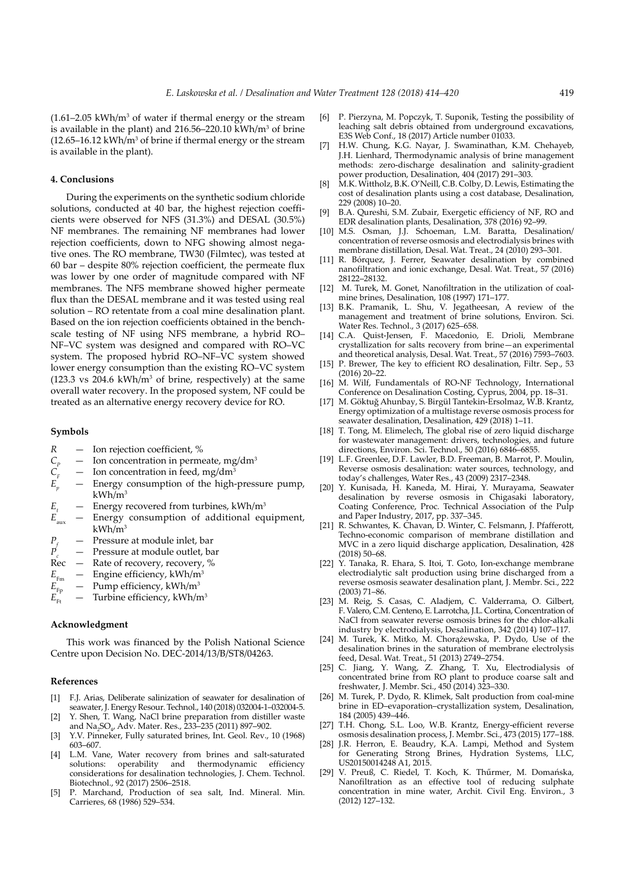$(1.61-2.05 \text{ kWh/m}^3 \text{ of water if thermal energy or the stream})$ is available in the plant) and  $216.56 - 220.10 \text{ kWh/m}^3$  of brine  $(12.65 - 16.12 \text{ kWh/m}^3 \text{ of brine if thermal energy or the stream})$ is available in the plant).

### **4. Conclusions**

During the experiments on the synthetic sodium chloride solutions, conducted at 40 bar, the highest rejection coefficients were observed for NFS (31.3%) and DESAL (30.5%) NF membranes. The remaining NF membranes had lower rejection coefficients, down to NFG showing almost negative ones. The RO membrane, TW30 (Filmtec), was tested at 60 bar – despite 80% rejection coefficient, the permeate flux was lower by one order of magnitude compared with NF membranes. The NFS membrane showed higher permeate flux than the DESAL membrane and it was tested using real solution – RO retentate from a coal mine desalination plant. Based on the ion rejection coefficients obtained in the benchscale testing of NF using NFS membrane, a hybrid RO– NF–VC system was designed and compared with RO–VC system. The proposed hybrid RO–NF–VC system showed lower energy consumption than the existing RO–VC system  $(123.3 \text{ vs } 204.6 \text{ kWh/m}^3 \text{ of brine, respectively})$  at the same overall water recovery. In the proposed system, NF could be treated as an alternative energy recovery device for RO.

## **Symbols**

- *R* Ion rejection coefficient, %
- 
- Ion concentration in feed, mg/dm<sup>3</sup>
- $C_p$  Ion concentration in permeate, mg/dm<sup>3</sup><br>  $C_r$  Ion concentration in feed, mg/dm<sup>3</sup><br>  $E_p$  Energy consumption of the high-press Energy consumption of the high-pressure pump,  $kWh/m^3$
- 
- $E_t$  Energy recovered from turbines, kWh/m<sup>3</sup><br> $E_{\text{aux}}$  Energy consumption of additional equ Energy consumption of additional equipment,  $kWh/m<sup>3</sup>$
- $P_f =$ Pressure at module inlet, bar<br> $P_i =$ Pressure at module outlet, ba
- $\frac{p}{\text{Rec}}$  Pressure at module outlet, bar<br>Rec Rate of recovery, recovery, %
- Rate of recovery, recovery, %
- $E_{F_{\rm rn}}$  Engine efficiency, kWh/m<sup>3</sup><br>  $E_{F_{\rm Pt}}$  Pump efficiency, kWh/m<sup>3</sup><br>  $E_{F_{\rm ft}}$  Turbine efficiency, kWh/m
- Pump efficiency, kWh/m<sup>3</sup>
- Turbine efficiency, kWh/m<sup>3</sup>

#### **Acknowledgment**

This work was financed by the Polish National Science Centre upon Decision No. DEC-2014/13/B/ST8/04263.

#### **References**

- [1] F.J. Arias, Deliberate salinization of seawater for desalination of seawater, J. Energy Resour. Technol., 140 (2018) 032004-1–032004-5.
- [2] Y. Shen, T. Wang, NaCl brine preparation from distiller waste and Na<sub>2</sub>SO<sub>4</sub>, Adv. Mater. Res., 233–235 (2011) 897–902.
- [3] Y.V. Pinneker, Fully saturated brines, Int. Geol. Rev., 10 (1968) 603–607.
- [4] L.M. Vane, Water recovery from brines and salt-saturated solutions: operability and thermodynamic efficiency considerations for desalination technologies, J. Chem. Technol. Biotechnol., 92 (2017) 2506–2518.
- [5] P. Marchand, Production of sea salt, Ind. Mineral. Min. Carrieres, 68 (1986) 529–534.
- [6] P. Pierzyna, M. Popczyk, T. Suponik, Testing the possibility of leaching salt debris obtained from underground excavations, E3S Web Conf., 18 (2017) Article number 01033.
- [7] H.W. Chung, K.G. Nayar, J. Swaminathan, K.M. Chehayeb, J.H. Lienhard, Thermodynamic analysis of brine management methods: zero-discharge desalination and salinity-gradient power production, Desalination, 404 (2017) 291–303.
- [8] M.K. Wittholz, B.K. O'Neill, C.B. Colby, D. Lewis, Estimating the cost of desalination plants using a cost database, Desalination, 229 (2008) 10–20.
- [9] B.A. Qureshi, S.M. Zubair, Exergetic efficiency of NF, RO and EDR desalination plants, Desalination, 378 (2016) 92–99.
- [10] M.S. Osman, J.J. Schoeman, L.M. Baratta, Desalination/ concentration of reverse osmosis and electrodialysis brines with membrane distillation, Desal. Wat. Treat., 24 (2010) 293–301.
- [11] R. Bórquez, J. Ferrer, Seawater desalination by combined nanofiltration and ionic exchange, Desal. Wat. Treat., 57 (2016) 28122–28132.
- [12] M. Turek, M. Gonet, Nanofiltration in the utilization of coalmine brines, Desalination, 108 (1997) 171–177.
- [13] B.K. Pramanik, L. Shu, V. Jegatheesan, A review of the management and treatment of brine solutions, Environ. Sci. Water Res. Technol., 3 (2017) 625–658.
- [14] C.A. Quist-Jensen, F. Macedonio, E. Drioli, Membrane crystallization for salts recovery from brine—an experimental and theoretical analysis, Desal. Wat. Treat., 57 (2016) 7593–7603.
- [15] P. Brewer, The key to efficient RO desalination, Filtr. Sep., 53 (2016) 20–22.
- [16] M. Wilf, Fundamentals of RO-NF Technology, International Conference on Desalination Costing, Cyprus, 2004, pp. 18–31.
- [17] M. Göktuğ Ahunbay, S. Birgül Tantekin-Ersolmaz, W.B. Krantz, Energy optimization of a multistage reverse osmosis process for seawater desalination, Desalination, 429 (2018) 1–11.
- [18] T. Tong, M. Elimelech, The global rise of zero liquid discharge for wastewater management: drivers, technologies, and future directions, Environ. Sci. Technol., 50 (2016) 6846–6855.
- [19] L.F. Greenlee, D.F. Lawler, B.D. Freeman, B. Marrot, P. Moulin, Reverse osmosis desalination: water sources, technology, and today's challenges, Water Res., 43 (2009) 2317–2348.
- [20] Y. Kunisada, H. Kaneda, M. Hirai, Y. Murayama, Seawater desalination by reverse osmosis in Chigasaki laboratory, Coating Conference, Proc. Technical Association of the Pulp and Paper Industry, 2017, pp. 337–345.
- [21] R. Schwantes, K. Chavan, D. Winter, C. Felsmann, J. Pfafferott, Techno-economic comparison of membrane distillation and MVC in a zero liquid discharge application, Desalination, 428 (2018) 50–68.
- [22] Y. Tanaka, R. Ehara, S. Itoi, T. Goto, Ion-exchange membrane electrodialytic salt production using brine discharged from a reverse osmosis seawater desalination plant, J. Membr. Sci., 222 (2003) 71–86.
- [23] M. Reig, S. Casas, C. Aladjem, C. Valderrama, O. Gilbert, F. Valero, C.M. Centeno, E. Larrotcha, J.L. Cortina, Concentration of NaCl from seawater reverse osmosis brines for the chlor-alkali industry by electrodialysis, Desalination, 342 (2014) 107–117.
- [24] M. Turek, K. Mitko, M. Chorążewska, P. Dydo, Use of the desalination brines in the saturation of membrane electrolysis feed, Desal. Wat. Treat., 51 (2013) 2749–2754.
- [25] C. Jiang, Y. Wang, Z. Zhang, T. Xu, Electrodialysis of concentrated brine from RO plant to produce coarse salt and freshwater, J. Membr. Sci., 450 (2014) 323–330.
- [26] M. Turek, P. Dydo, R. Klimek, Salt production from coal-mine brine in ED–evaporation–crystallization system, Desalination, 184 (2005) 439–446.
- [27] T.H. Chong, S.L. Loo, W.B. Krantz, Energy-efficient reverse osmosis desalination process, J. Membr. Sci., 473 (2015) 177–188.
- [28] J.R. Herron, E. Beaudry, K.A. Lampi, Method and System for Generating Strong Brines, Hydration Systems, LLC, US20150014248 A1, 2015.
- [29] V. Preuß, C. Riedel, T. Koch, K. Thűrmer, M. Domańska, Nanofiltration as an effective tool of reducing sulphate concentration in mine water, Archit. Civil Eng. Environ., 3 (2012) 127–132.